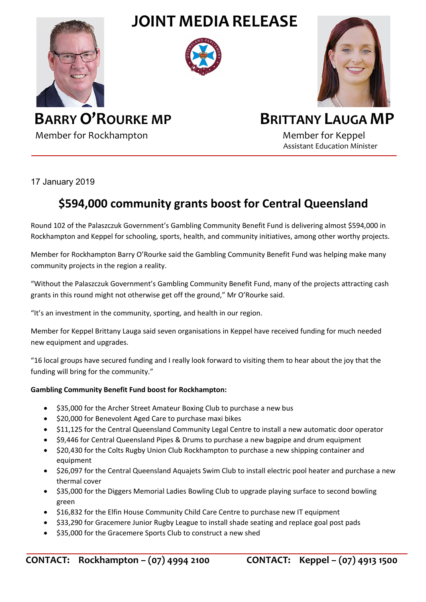**JOINT MEDIA RELEASE**







Member for Rockhampton Member for Keppel

# **BARRY O'ROURKE MP** BRITTANY LAUGA MP

Assistant Education Minister

17 January 2019

## **\$594,000 community grants boost for Central Queensland**

Round 102 of the Palaszczuk Government's Gambling Community Benefit Fund is delivering almost \$594,000 in Rockhampton and Keppel for schooling, sports, health, and community initiatives, among other worthy projects.

Member for Rockhampton Barry O'Rourke said the Gambling Community Benefit Fund was helping make many community projects in the region a reality.

"Without the Palaszczuk Government's Gambling Community Benefit Fund, many of the projects attracting cash grants in this round might not otherwise get off the ground," Mr O'Rourke said.

"It's an investment in the community, sporting, and health in our region.

Member for Keppel Brittany Lauga said seven organisations in Keppel have received funding for much needed new equipment and upgrades.

"16 local groups have secured funding and I really look forward to visiting them to hear about the joy that the funding will bring for the community."

### **Gambling Community Benefit Fund boost for Rockhampton:**

- \$35,000 for the Archer Street Amateur Boxing Club to purchase a new bus
- \$20,000 for Benevolent Aged Care to purchase maxi bikes
- \$11,125 for the Central Queensland Community Legal Centre to install a new automatic door operator
- \$9,446 for Central Queensland Pipes & Drums to purchase a new bagpipe and drum equipment
- \$20,430 for the Colts Rugby Union Club Rockhampton to purchase a new shipping container and equipment
- \$26,097 for the Central Queensland Aquajets Swim Club to install electric pool heater and purchase a new thermal cover
- \$35,000 for the Diggers Memorial Ladies Bowling Club to upgrade playing surface to second bowling green
- \$16,832 for the Elfin House Community Child Care Centre to purchase new IT equipment
- \$33,290 for Gracemere Junior Rugby League to install shade seating and replace goal post pads
- \$35,000 for the Gracemere Sports Club to construct a new shed